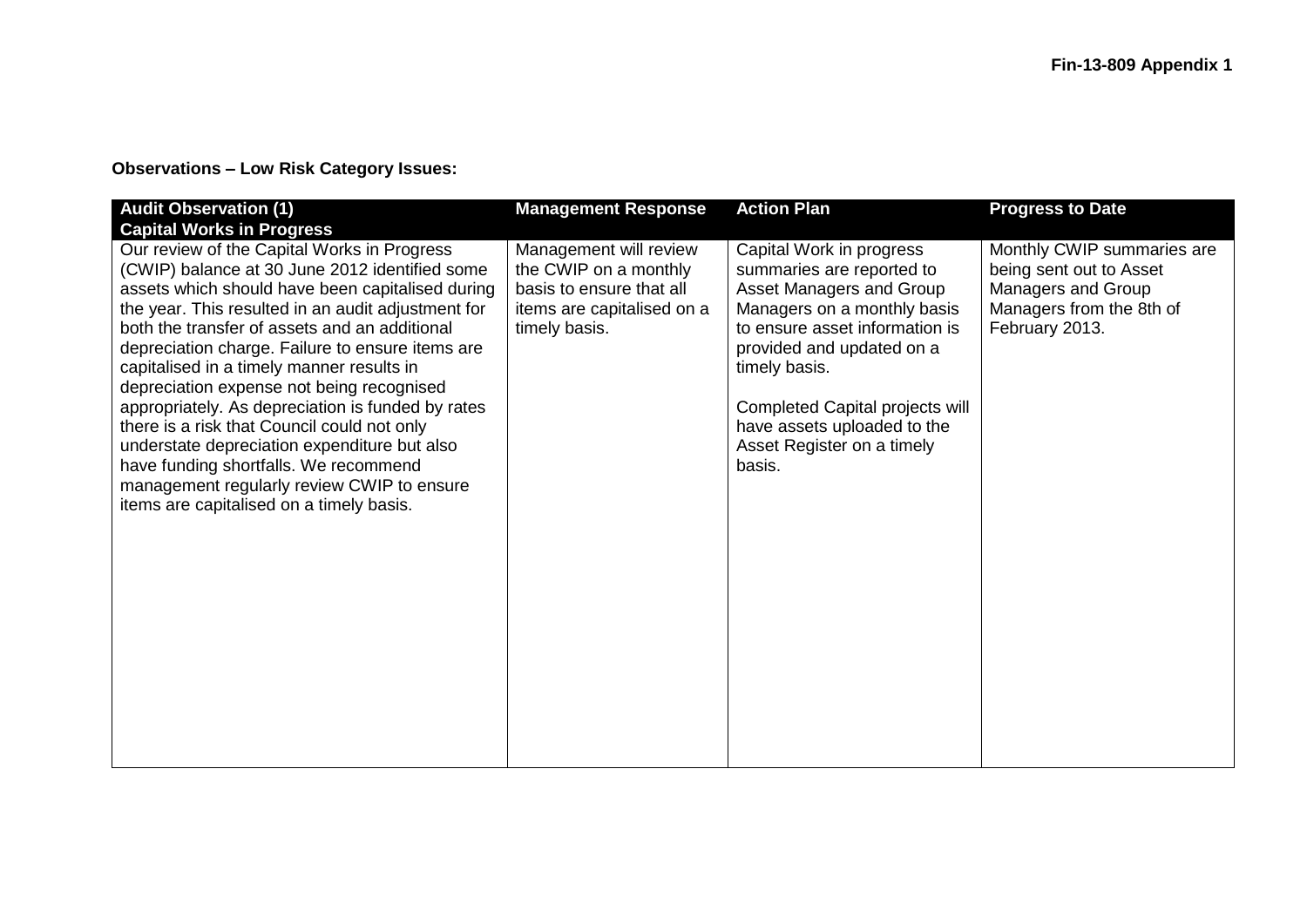## **Observations – Low Risk Category Issues:**

| <b>Audit Observation (1)</b><br><b>Capital Works in Progress</b>                                                                                                                                                                                                                                                                                                                                                                                                                                                                                                                                                                                                                              | <b>Management Response</b>                                                                                                 | <b>Action Plan</b>                                                                                                                                                                                                                                                                                         | <b>Progress to Date</b>                                                                                                   |
|-----------------------------------------------------------------------------------------------------------------------------------------------------------------------------------------------------------------------------------------------------------------------------------------------------------------------------------------------------------------------------------------------------------------------------------------------------------------------------------------------------------------------------------------------------------------------------------------------------------------------------------------------------------------------------------------------|----------------------------------------------------------------------------------------------------------------------------|------------------------------------------------------------------------------------------------------------------------------------------------------------------------------------------------------------------------------------------------------------------------------------------------------------|---------------------------------------------------------------------------------------------------------------------------|
| Our review of the Capital Works in Progress<br>(CWIP) balance at 30 June 2012 identified some<br>assets which should have been capitalised during<br>the year. This resulted in an audit adjustment for<br>both the transfer of assets and an additional<br>depreciation charge. Failure to ensure items are<br>capitalised in a timely manner results in<br>depreciation expense not being recognised<br>appropriately. As depreciation is funded by rates<br>there is a risk that Council could not only<br>understate depreciation expenditure but also<br>have funding shortfalls. We recommend<br>management regularly review CWIP to ensure<br>items are capitalised on a timely basis. | Management will review<br>the CWIP on a monthly<br>basis to ensure that all<br>items are capitalised on a<br>timely basis. | Capital Work in progress<br>summaries are reported to<br>Asset Managers and Group<br>Managers on a monthly basis<br>to ensure asset information is<br>provided and updated on a<br>timely basis.<br>Completed Capital projects will<br>have assets uploaded to the<br>Asset Register on a timely<br>basis. | Monthly CWIP summaries are<br>being sent out to Asset<br>Managers and Group<br>Managers from the 8th of<br>February 2013. |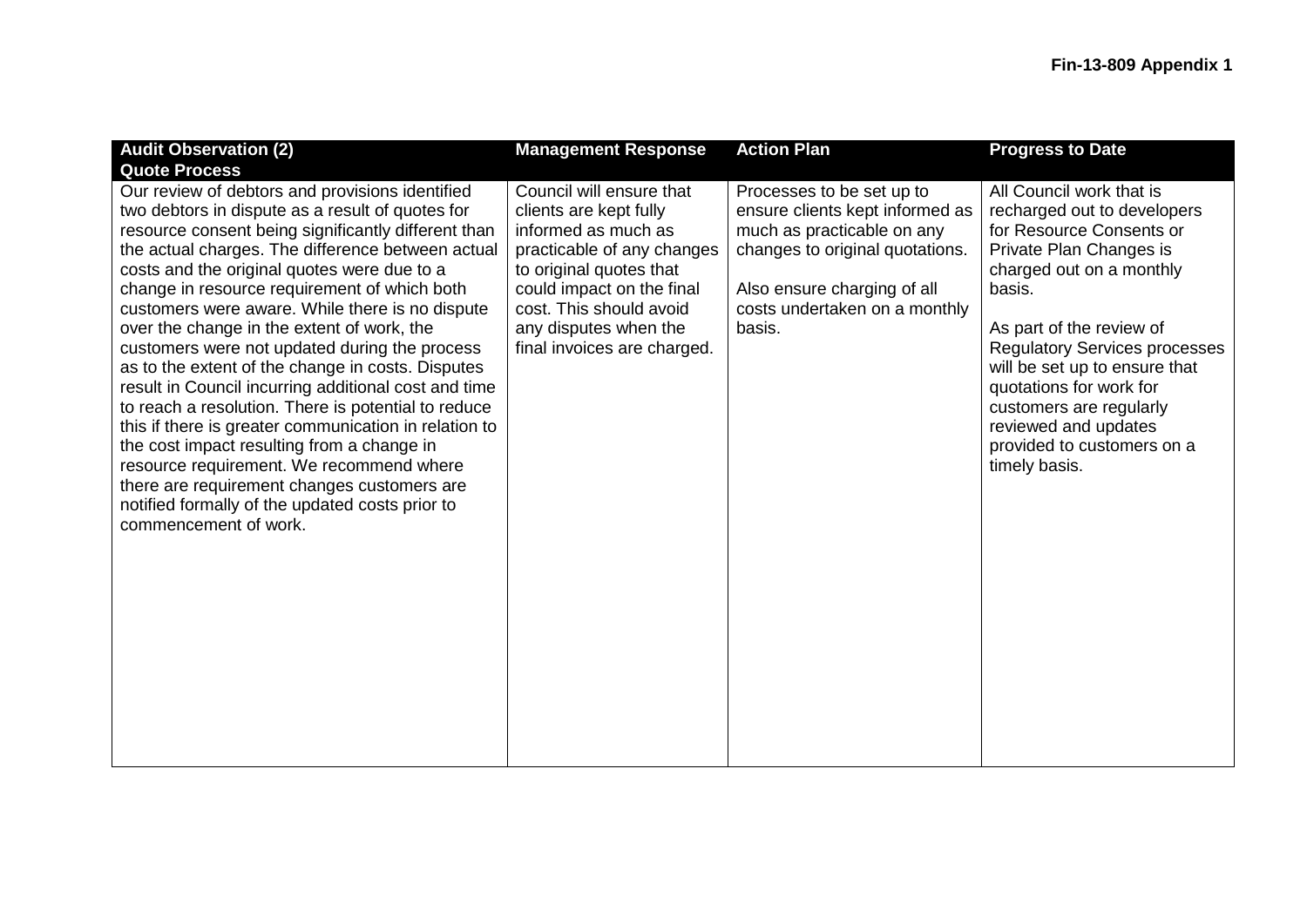| <b>Audit Observation (2)</b>                                                                                                                                                                                                                                                                                                                                                                                                                                                                                                                                                                                                                                                                                                                                                                                                                                                                                       | <b>Management Response</b>                                                                                                                                                                                                                         | <b>Action Plan</b>                                                                                                                                                                                      | <b>Progress to Date</b>                                                                                                                                                                                                                                                                                                                                                                |
|--------------------------------------------------------------------------------------------------------------------------------------------------------------------------------------------------------------------------------------------------------------------------------------------------------------------------------------------------------------------------------------------------------------------------------------------------------------------------------------------------------------------------------------------------------------------------------------------------------------------------------------------------------------------------------------------------------------------------------------------------------------------------------------------------------------------------------------------------------------------------------------------------------------------|----------------------------------------------------------------------------------------------------------------------------------------------------------------------------------------------------------------------------------------------------|---------------------------------------------------------------------------------------------------------------------------------------------------------------------------------------------------------|----------------------------------------------------------------------------------------------------------------------------------------------------------------------------------------------------------------------------------------------------------------------------------------------------------------------------------------------------------------------------------------|
| <b>Quote Process</b>                                                                                                                                                                                                                                                                                                                                                                                                                                                                                                                                                                                                                                                                                                                                                                                                                                                                                               |                                                                                                                                                                                                                                                    |                                                                                                                                                                                                         |                                                                                                                                                                                                                                                                                                                                                                                        |
| Our review of debtors and provisions identified<br>two debtors in dispute as a result of quotes for<br>resource consent being significantly different than<br>the actual charges. The difference between actual<br>costs and the original quotes were due to a<br>change in resource requirement of which both<br>customers were aware. While there is no dispute<br>over the change in the extent of work, the<br>customers were not updated during the process<br>as to the extent of the change in costs. Disputes<br>result in Council incurring additional cost and time<br>to reach a resolution. There is potential to reduce<br>this if there is greater communication in relation to<br>the cost impact resulting from a change in<br>resource requirement. We recommend where<br>there are requirement changes customers are<br>notified formally of the updated costs prior to<br>commencement of work. | Council will ensure that<br>clients are kept fully<br>informed as much as<br>practicable of any changes<br>to original quotes that<br>could impact on the final<br>cost. This should avoid<br>any disputes when the<br>final invoices are charged. | Processes to be set up to<br>ensure clients kept informed as<br>much as practicable on any<br>changes to original quotations.<br>Also ensure charging of all<br>costs undertaken on a monthly<br>basis. | All Council work that is<br>recharged out to developers<br>for Resource Consents or<br>Private Plan Changes is<br>charged out on a monthly<br>basis.<br>As part of the review of<br><b>Regulatory Services processes</b><br>will be set up to ensure that<br>quotations for work for<br>customers are regularly<br>reviewed and updates<br>provided to customers on a<br>timely basis. |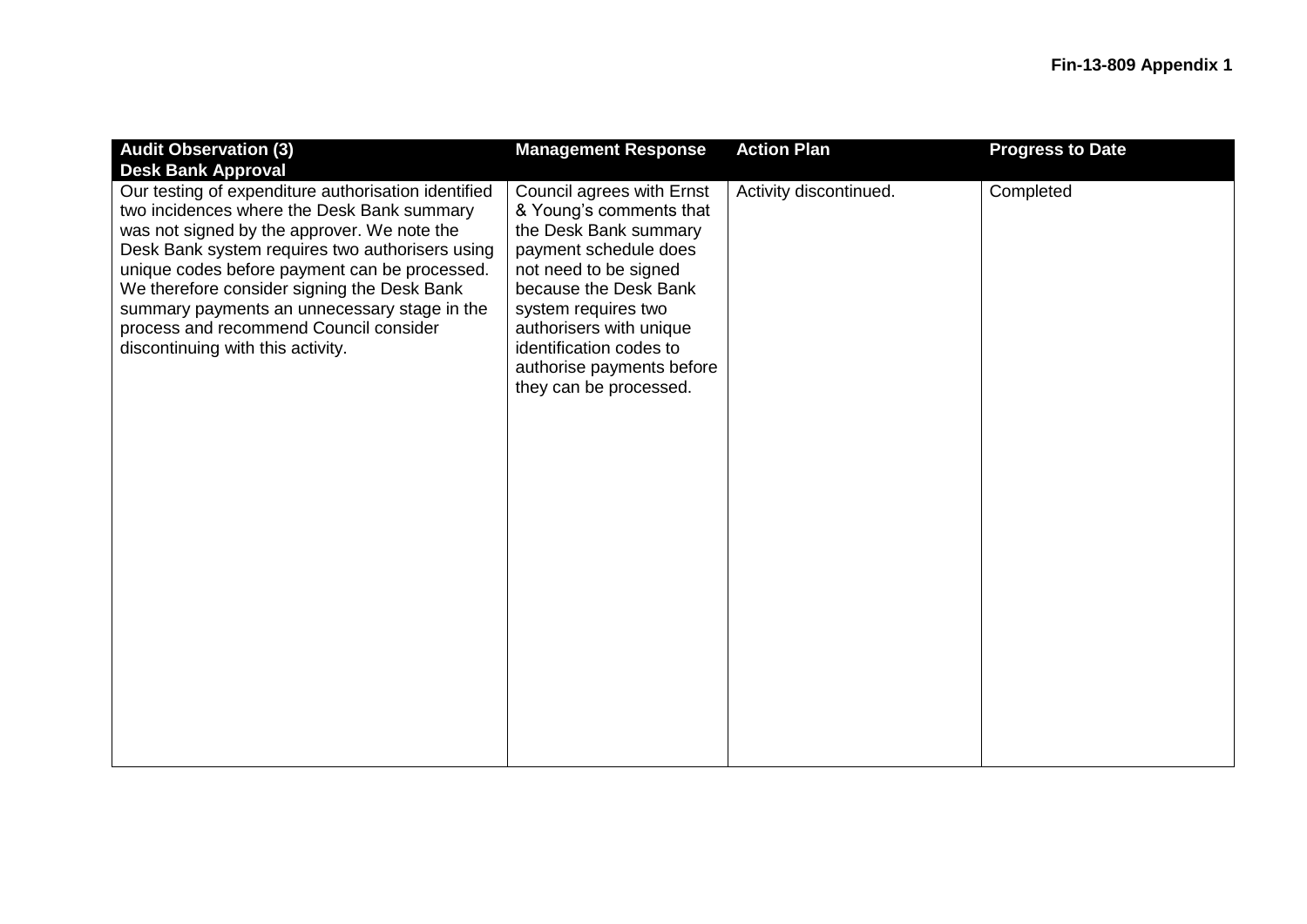| <b>Management Response</b>                                                                                                                                                                                                                                                                   | <b>Action Plan</b>     | <b>Progress to Date</b> |
|----------------------------------------------------------------------------------------------------------------------------------------------------------------------------------------------------------------------------------------------------------------------------------------------|------------------------|-------------------------|
|                                                                                                                                                                                                                                                                                              |                        |                         |
| Council agrees with Ernst<br>& Young's comments that<br>the Desk Bank summary<br>payment schedule does<br>not need to be signed<br>because the Desk Bank<br>system requires two<br>authorisers with unique<br>identification codes to<br>authorise payments before<br>they can be processed. | Activity discontinued. | Completed               |
|                                                                                                                                                                                                                                                                                              |                        |                         |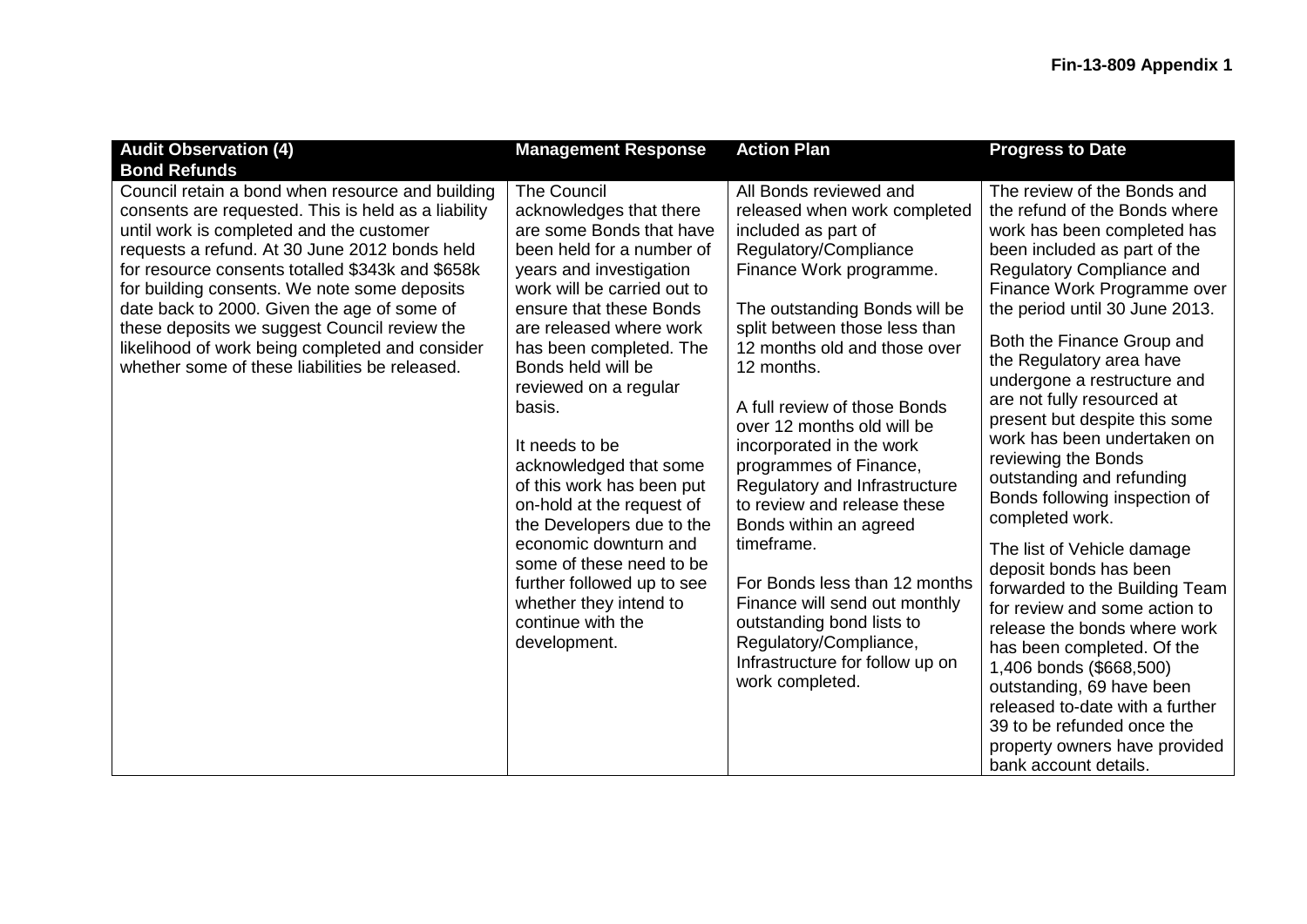| <b>Audit Observation (4)</b>                                                                                                                                                                                                                                                                                                                                                                                                                                                                                 | <b>Management Response</b>                                                                                                                                                                                                                                                                                                                                                                                                                                                                                                                                                                      | <b>Action Plan</b>                                                                                                                                                                                                                                                                                                                                                                                                                                                                                                                                                                                                                                           | <b>Progress to Date</b>                                                                                                                                                                                                                                                                                                                                                                                                                                                                                                                                                                                                                                                                                                                                                                                                                                                                              |
|--------------------------------------------------------------------------------------------------------------------------------------------------------------------------------------------------------------------------------------------------------------------------------------------------------------------------------------------------------------------------------------------------------------------------------------------------------------------------------------------------------------|-------------------------------------------------------------------------------------------------------------------------------------------------------------------------------------------------------------------------------------------------------------------------------------------------------------------------------------------------------------------------------------------------------------------------------------------------------------------------------------------------------------------------------------------------------------------------------------------------|--------------------------------------------------------------------------------------------------------------------------------------------------------------------------------------------------------------------------------------------------------------------------------------------------------------------------------------------------------------------------------------------------------------------------------------------------------------------------------------------------------------------------------------------------------------------------------------------------------------------------------------------------------------|------------------------------------------------------------------------------------------------------------------------------------------------------------------------------------------------------------------------------------------------------------------------------------------------------------------------------------------------------------------------------------------------------------------------------------------------------------------------------------------------------------------------------------------------------------------------------------------------------------------------------------------------------------------------------------------------------------------------------------------------------------------------------------------------------------------------------------------------------------------------------------------------------|
| <b>Bond Refunds</b>                                                                                                                                                                                                                                                                                                                                                                                                                                                                                          |                                                                                                                                                                                                                                                                                                                                                                                                                                                                                                                                                                                                 |                                                                                                                                                                                                                                                                                                                                                                                                                                                                                                                                                                                                                                                              |                                                                                                                                                                                                                                                                                                                                                                                                                                                                                                                                                                                                                                                                                                                                                                                                                                                                                                      |
| Council retain a bond when resource and building<br>consents are requested. This is held as a liability<br>until work is completed and the customer<br>requests a refund. At 30 June 2012 bonds held<br>for resource consents totalled \$343k and \$658k<br>for building consents. We note some deposits<br>date back to 2000. Given the age of some of<br>these deposits we suggest Council review the<br>likelihood of work being completed and consider<br>whether some of these liabilities be released. | <b>The Council</b><br>acknowledges that there<br>are some Bonds that have<br>been held for a number of<br>years and investigation<br>work will be carried out to<br>ensure that these Bonds<br>are released where work<br>has been completed. The<br>Bonds held will be<br>reviewed on a regular<br>basis.<br>It needs to be<br>acknowledged that some<br>of this work has been put<br>on-hold at the request of<br>the Developers due to the<br>economic downturn and<br>some of these need to be<br>further followed up to see<br>whether they intend to<br>continue with the<br>development. | All Bonds reviewed and<br>released when work completed<br>included as part of<br>Regulatory/Compliance<br>Finance Work programme.<br>The outstanding Bonds will be<br>split between those less than<br>12 months old and those over<br>12 months.<br>A full review of those Bonds<br>over 12 months old will be<br>incorporated in the work<br>programmes of Finance,<br>Regulatory and Infrastructure<br>to review and release these<br>Bonds within an agreed<br>timeframe.<br>For Bonds less than 12 months<br>Finance will send out monthly<br>outstanding bond lists to<br>Regulatory/Compliance,<br>Infrastructure for follow up on<br>work completed. | The review of the Bonds and<br>the refund of the Bonds where<br>work has been completed has<br>been included as part of the<br>Regulatory Compliance and<br>Finance Work Programme over<br>the period until 30 June 2013.<br>Both the Finance Group and<br>the Regulatory area have<br>undergone a restructure and<br>are not fully resourced at<br>present but despite this some<br>work has been undertaken on<br>reviewing the Bonds<br>outstanding and refunding<br>Bonds following inspection of<br>completed work.<br>The list of Vehicle damage<br>deposit bonds has been<br>forwarded to the Building Team<br>for review and some action to<br>release the bonds where work<br>has been completed. Of the<br>1,406 bonds (\$668,500)<br>outstanding, 69 have been<br>released to-date with a further<br>39 to be refunded once the<br>property owners have provided<br>bank account details. |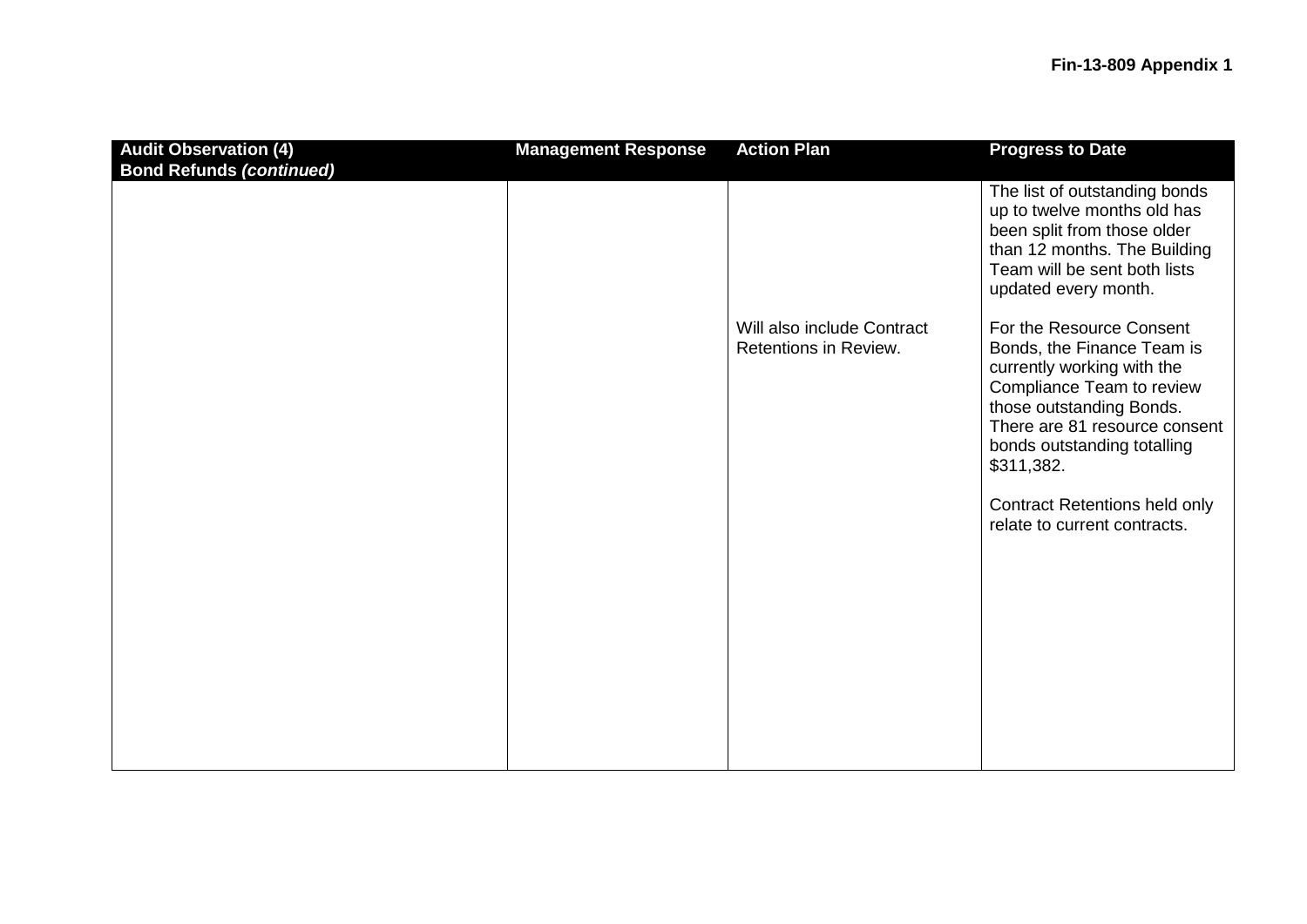| <b>Audit Observation (4)</b><br><b>Bond Refunds (continued)</b> | <b>Management Response</b> | <b>Action Plan</b>                                  | <b>Progress to Date</b>                                                                                                                                                                                                     |
|-----------------------------------------------------------------|----------------------------|-----------------------------------------------------|-----------------------------------------------------------------------------------------------------------------------------------------------------------------------------------------------------------------------------|
|                                                                 |                            |                                                     | The list of outstanding bonds<br>up to twelve months old has<br>been split from those older<br>than 12 months. The Building<br>Team will be sent both lists<br>updated every month.                                         |
|                                                                 |                            | Will also include Contract<br>Retentions in Review. | For the Resource Consent<br>Bonds, the Finance Team is<br>currently working with the<br>Compliance Team to review<br>those outstanding Bonds.<br>There are 81 resource consent<br>bonds outstanding totalling<br>\$311,382. |
|                                                                 |                            |                                                     | <b>Contract Retentions held only</b><br>relate to current contracts.                                                                                                                                                        |
|                                                                 |                            |                                                     |                                                                                                                                                                                                                             |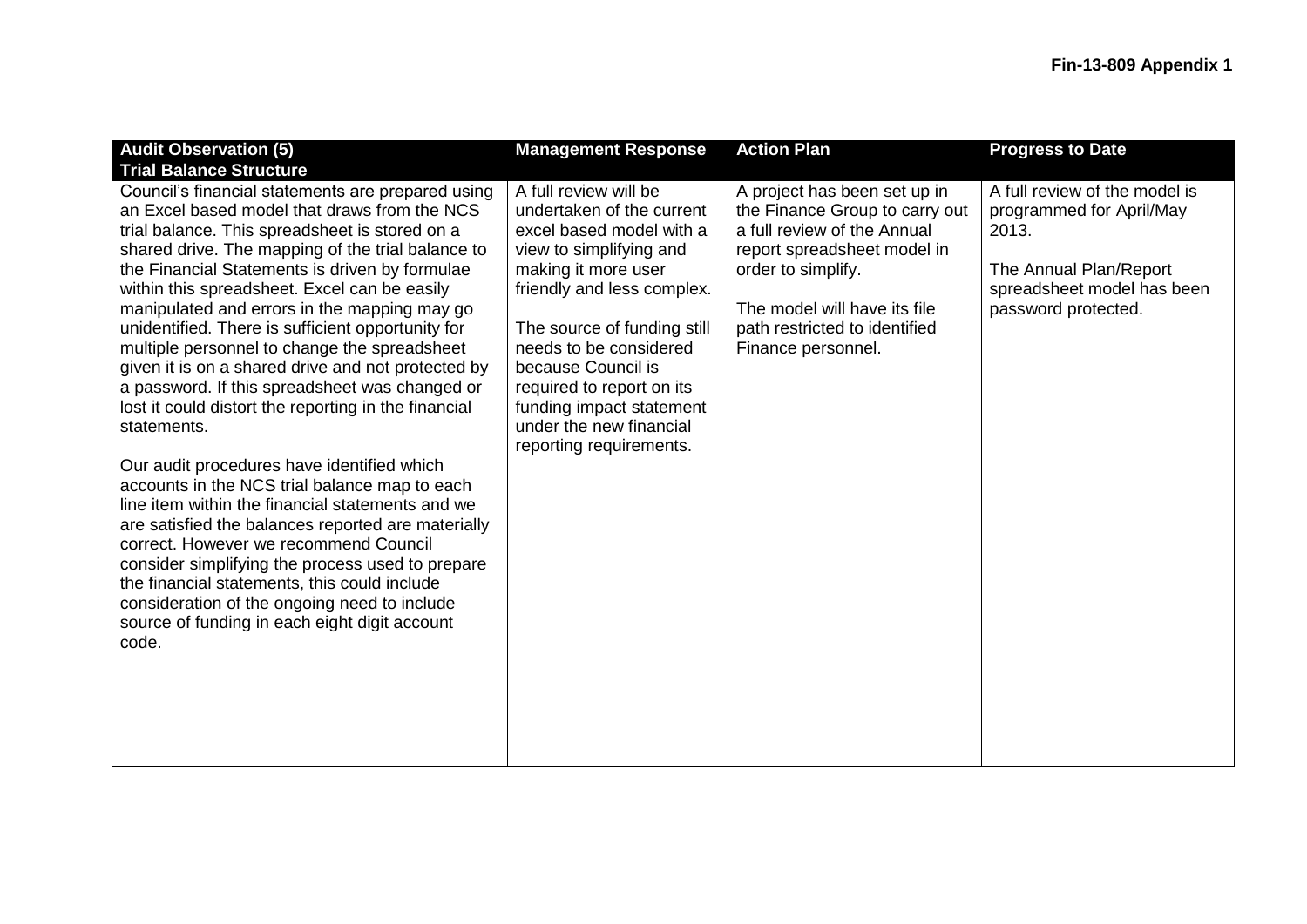| <b>Audit Observation (5)</b>                                                                                                                                                                                                                                                                                                                                                                                                                                                                                                                                                                                                                                                                                                                                                                                                                                                                                                                                                                                                                                                                                   | <b>Management Response</b>                                                                                                                                                                                                                                                                                                                                   | <b>Action Plan</b>                                                                                                                                                                                                                        | <b>Progress to Date</b>                                                                                                                           |
|----------------------------------------------------------------------------------------------------------------------------------------------------------------------------------------------------------------------------------------------------------------------------------------------------------------------------------------------------------------------------------------------------------------------------------------------------------------------------------------------------------------------------------------------------------------------------------------------------------------------------------------------------------------------------------------------------------------------------------------------------------------------------------------------------------------------------------------------------------------------------------------------------------------------------------------------------------------------------------------------------------------------------------------------------------------------------------------------------------------|--------------------------------------------------------------------------------------------------------------------------------------------------------------------------------------------------------------------------------------------------------------------------------------------------------------------------------------------------------------|-------------------------------------------------------------------------------------------------------------------------------------------------------------------------------------------------------------------------------------------|---------------------------------------------------------------------------------------------------------------------------------------------------|
| <b>Trial Balance Structure</b>                                                                                                                                                                                                                                                                                                                                                                                                                                                                                                                                                                                                                                                                                                                                                                                                                                                                                                                                                                                                                                                                                 |                                                                                                                                                                                                                                                                                                                                                              |                                                                                                                                                                                                                                           |                                                                                                                                                   |
| Council's financial statements are prepared using<br>an Excel based model that draws from the NCS<br>trial balance. This spreadsheet is stored on a<br>shared drive. The mapping of the trial balance to<br>the Financial Statements is driven by formulae<br>within this spreadsheet. Excel can be easily<br>manipulated and errors in the mapping may go<br>unidentified. There is sufficient opportunity for<br>multiple personnel to change the spreadsheet<br>given it is on a shared drive and not protected by<br>a password. If this spreadsheet was changed or<br>lost it could distort the reporting in the financial<br>statements.<br>Our audit procedures have identified which<br>accounts in the NCS trial balance map to each<br>line item within the financial statements and we<br>are satisfied the balances reported are materially<br>correct. However we recommend Council<br>consider simplifying the process used to prepare<br>the financial statements, this could include<br>consideration of the ongoing need to include<br>source of funding in each eight digit account<br>code. | A full review will be<br>undertaken of the current<br>excel based model with a<br>view to simplifying and<br>making it more user<br>friendly and less complex.<br>The source of funding still<br>needs to be considered<br>because Council is<br>required to report on its<br>funding impact statement<br>under the new financial<br>reporting requirements. | A project has been set up in<br>the Finance Group to carry out<br>a full review of the Annual<br>report spreadsheet model in<br>order to simplify.<br>The model will have its file<br>path restricted to identified<br>Finance personnel. | A full review of the model is<br>programmed for April/May<br>2013.<br>The Annual Plan/Report<br>spreadsheet model has been<br>password protected. |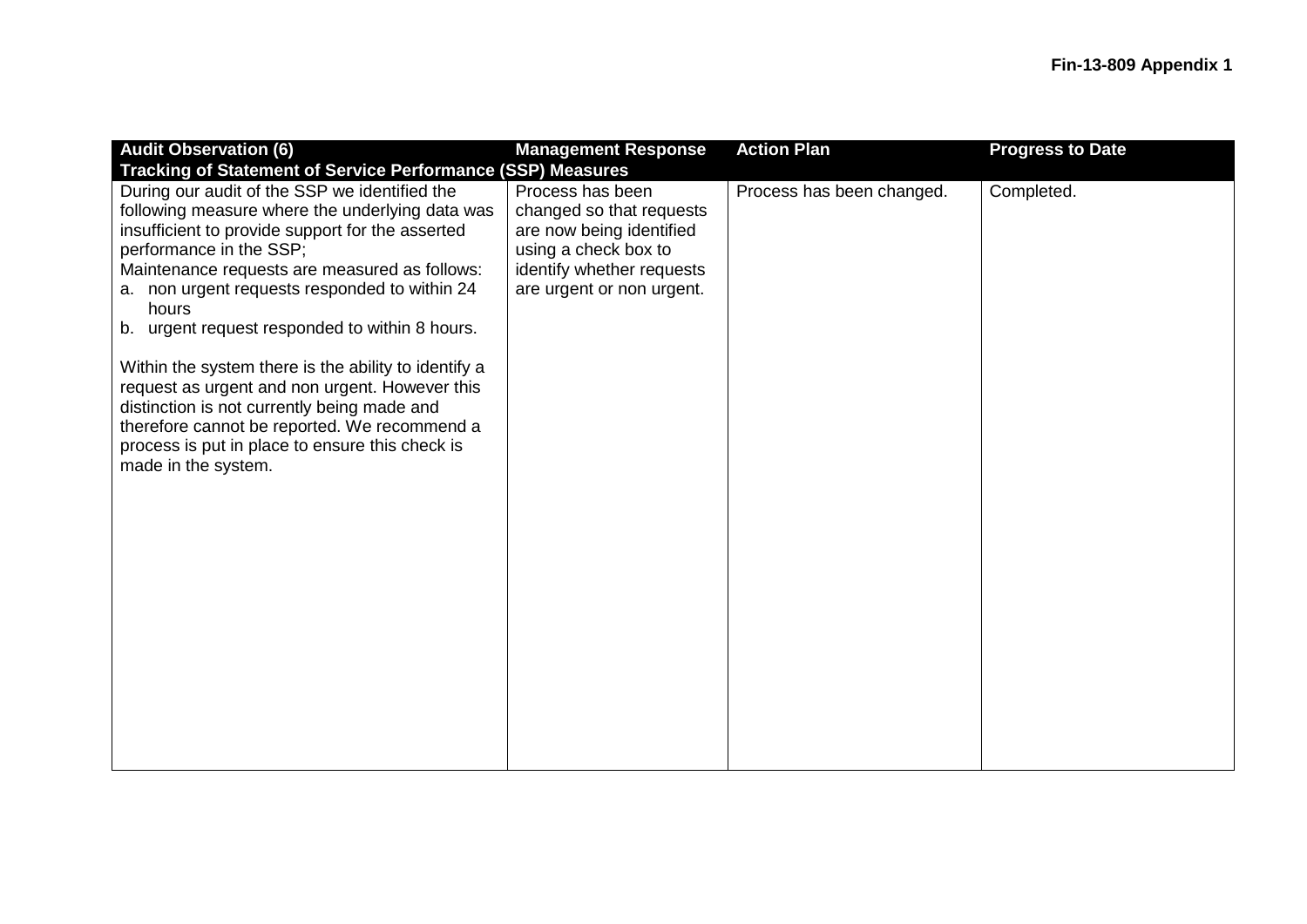| <b>Audit Observation (6)</b>                                                                                                                                                                                                                                                                                                                                                                                                                                                                                                                                                                                                                                                                          | <b>Management Response</b>                                                                                                                                 | <b>Action Plan</b>        | <b>Progress to Date</b> |
|-------------------------------------------------------------------------------------------------------------------------------------------------------------------------------------------------------------------------------------------------------------------------------------------------------------------------------------------------------------------------------------------------------------------------------------------------------------------------------------------------------------------------------------------------------------------------------------------------------------------------------------------------------------------------------------------------------|------------------------------------------------------------------------------------------------------------------------------------------------------------|---------------------------|-------------------------|
| <b>Tracking of Statement of Service Performance (SSP) Measures</b><br>During our audit of the SSP we identified the<br>following measure where the underlying data was<br>insufficient to provide support for the asserted<br>performance in the SSP;<br>Maintenance requests are measured as follows:<br>a. non urgent requests responded to within 24<br>hours<br>b. urgent request responded to within 8 hours.<br>Within the system there is the ability to identify a<br>request as urgent and non urgent. However this<br>distinction is not currently being made and<br>therefore cannot be reported. We recommend a<br>process is put in place to ensure this check is<br>made in the system. | Process has been<br>changed so that requests<br>are now being identified<br>using a check box to<br>identify whether requests<br>are urgent or non urgent. | Process has been changed. | Completed.              |